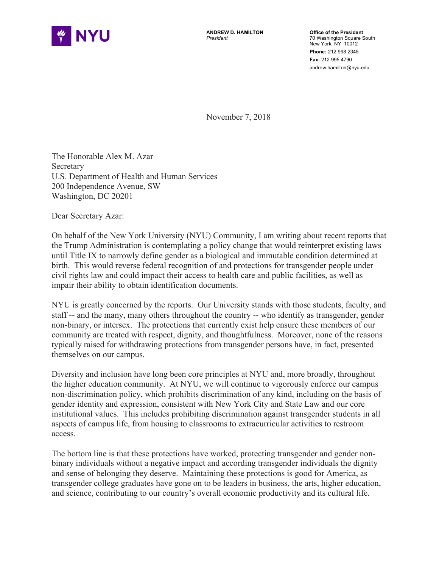

 **Office of the President**  New York, NY 10012 70 Washington Square South **Phone:** 212 998 2345 **Fax:** 212 995 4790 andrew.hamilton@nyu.edu

November 7, 2018

The Honorable Alex M. Azar **Secretary** U.S. Department of Health and Human Services 200 Independence Avenue, SW Washington, DC 20201

Dear Secretary Azar:

 birth. This would reverse federal recognition of and protections for transgender people under civil rights law and could impact their access to health care and public facilities, as well as impair their ability to obtain identification documents. On behalf of the New York University (NYU) Community, I am writing about recent reports that the Trump Administration is contemplating a policy change that would reinterpret existing laws until Title IX to narrowly define gender as a biological and immutable condition determined at

impair their ability to obtain identification documents.<br>NYU is greatly concerned by the reports. Our University stands with those students, faculty, and staff -- and the many, many others throughout the country -- who identify as transgender, gender non-binary, or intersex. The protections that currently exist help ensure these members of our community are treated with respect, dignity, and thoughtfulness. Moreover, none of the reasons themselves on our campus. typically raised for withdrawing protections from transgender persons have, in fact, presented

themselves on our campus.<br>Diversity and inclusion have long been core principles at NYU and, more broadly, throughout the higher education community. At NYU, we will continue to vigorously enforce our campus institutional values. This includes prohibiting discrimination against transgender students in all access. non-discrimination policy, which prohibits discrimination of any kind, including on the basis of gender identity and expression, consistent with New York City and State Law and our core aspects of campus life, from housing to classrooms to extracurricular activities to restroom

 and sense of belonging they deserve. Maintaining these protections is good for America, as and science, contributing to our country's overall economic productivity and its cultural life. The bottom line is that these protections have worked, protecting transgender and gender nonbinary individuals without a negative impact and according transgender individuals the dignity transgender college graduates have gone on to be leaders in business, the arts, higher education,